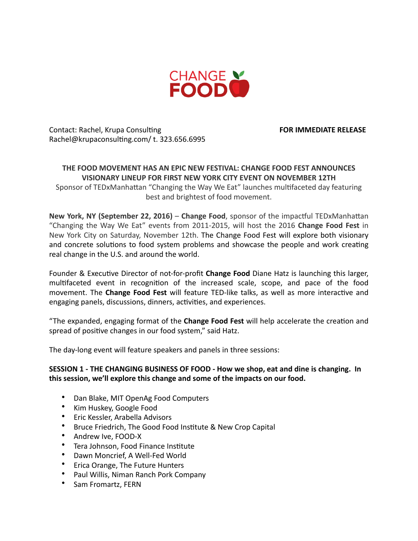

Contact: Rachel, Krupa Consulting *CONSUMERY CONSUMERY FOR IMMEDIATE RELEASE* Rachel@krupaconsulting.com/ t. 323.656.6995

### **THE FOOD MOVEMENT HAS AN FPIC NEW FESTIVAL: CHANGE FOOD FEST ANNOUNCES VISIONARY LINEUP FOR FIRST NEW YORK CITY EVENT ON NOVEMBER 12TH**

Sponsor of TEDxManhattan "Changing the Way We Eat" launches multifaceted day featuring best and brightest of food movement.

**New York, NY (September 22, 2016)** – Change Food, sponsor of the impactful TEDxManhattan "Changing the Way We Eat" events from 2011-2015, will host the 2016 Change Food Fest in New York City on Saturday, November 12th. The Change Food Fest will explore both visionary and concrete solutions to food system problems and showcase the people and work creating real change in the U.S. and around the world.

Founder & Executive Director of not-for-profit **Change Food** Diane Hatz is launching this larger, multifaceted event in recognition of the increased scale, scope, and pace of the food movement. The **Change Food Fest** will feature TED-like talks, as well as more interactive and engaging panels, discussions, dinners, activities, and experiences.

"The expanded, engaging format of the **Change Food Fest** will help accelerate the creation and spread of positive changes in our food system," said Hatz.

The day-long event will feature speakers and panels in three sessions:

# **SESSION 1 - THE CHANGING BUSINESS OF FOOD - How we shop, eat and dine is changing. In** this session, we'll explore this change and some of the impacts on our food.

- Dan Blake, MIT OpenAg Food Computers
- Kim Huskey, Google Food
- Eric Kessler, Arabella Advisors
- Bruce Friedrich, The Good Food Institute & New Crop Capital
- Andrew Ive, FOOD-X
- Tera Johnson, Food Finance Institute
- Dawn Moncrief, A Well-Fed World
- Erica Orange, The Future Hunters
- Paul Willis, Niman Ranch Pork Company
- Sam Fromartz, FERN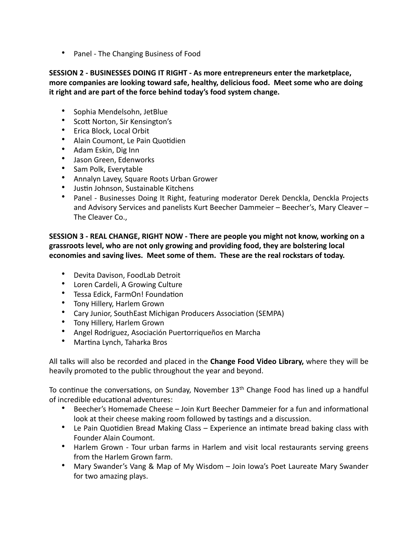• Panel - The Changing Business of Food

# **SESSION 2 - BUSINESSES DOING IT RIGHT - As more entrepreneurs enter the marketplace,** more companies are looking toward safe, healthy, delicious food. Meet some who are doing it right and are part of the force behind today's food system change.

- Sophia Mendelsohn, JetBlue
- Scott Norton, Sir Kensington's
- Erica Block, Local Orbit
- Alain Coumont, Le Pain Quotidien
- Adam Eskin, Dig Inn
- Jason Green, Edenworks
- Sam Polk, Everytable
- Annalyn Lavey, Square Roots Urban Grower
- Justin Johnson, Sustainable Kitchens
- Panel Businesses Doing It Right, featuring moderator Derek Denckla, Denckla Projects and Advisory Services and panelists Kurt Beecher Dammeier - Beecher's, Mary Cleaver -The Cleaver Co.,

SESSION 3 - REAL CHANGE, RIGHT NOW - There are people you might not know, working on a grassroots level, who are not only growing and providing food, they are bolstering local economies and saving lives. Meet some of them. These are the real rockstars of today.

- Devita Davison, FoodLab Detroit
- Loren Cardeli, A Growing Culture
- Tessa Edick, FarmOn! Foundation
- Tony Hillery, Harlem Grown
- Cary Junior, SouthEast Michigan Producers Association (SEMPA)
- Tony Hillery, Harlem Grown
- Angel Rodriguez, Asociación Puertorriqueños en Marcha
- Martina Lynch, Taharka Bros

All talks will also be recorded and placed in the **Change Food Video Library,** where they will be heavily promoted to the public throughout the year and beyond.

To continue the conversations, on Sunday, November  $13<sup>th</sup>$  Change Food has lined up a handful of incredible educational adventures:

- Beecher's Homemade Cheese Join Kurt Beecher Dammeier for a fun and informational look at their cheese making room followed by tastings and a discussion.
- Le Pain Quotidien Bread Making Class Experience an intimate bread baking class with Founder Alain Coumont.
- Harlem Grown Tour urban farms in Harlem and visit local restaurants serving greens from the Harlem Grown farm.
- Mary Swander's Vang & Map of My Wisdom Join Iowa's Poet Laureate Mary Swander for two amazing plays.